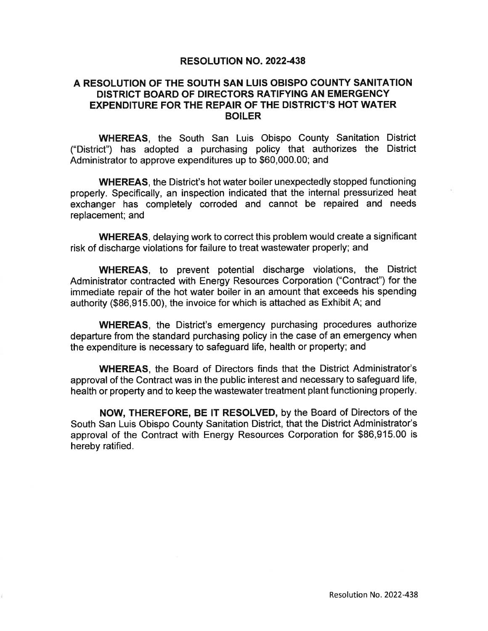## **RESOLUTION NO. 2022-438**

## A RESOLUTION OF THE SOUTH SAN LUIS OBISPO COUNTY SANITATION DISTRICT BOARD OF DIRECTORS RATIFYING AN EMERGENCY **EXPENDITURE FOR THE REPAIR OF THE DISTRICT'S HOT WATER BOILER**

**WHEREAS.** the South San Luis Obispo County Sanitation District ("District") has adopted a purchasing policy that authorizes the District Administrator to approve expenditures up to \$60,000.00; and

**WHEREAS**, the District's hot water boiler unexpectedly stopped functioning properly. Specifically, an inspection indicated that the internal pressurized heat exchanger has completely corroded and cannot be repaired and needs replacement; and

**WHEREAS, delaying work to correct this problem would create a significant** risk of discharge violations for failure to treat wastewater properly; and

**WHEREAS**, to prevent potential discharge violations, the District Administrator contracted with Energy Resources Corporation ("Contract") for the immediate repair of the hot water boiler in an amount that exceeds his spending authority (\$86,915.00), the invoice for which is attached as Exhibit A; and

**WHEREAS**, the District's emergency purchasing procedures authorize departure from the standard purchasing policy in the case of an emergency when the expenditure is necessary to safeguard life, health or property; and

**WHEREAS.** the Board of Directors finds that the District Administrator's approval of the Contract was in the public interest and necessary to safeguard life. health or property and to keep the wastewater treatment plant functioning properly.

**NOW. THEREFORE. BE IT RESOLVED, by the Board of Directors of the** South San Luis Obispo County Sanitation District, that the District Administrator's approval of the Contract with Energy Resources Corporation for \$86,915.00 is hereby ratified.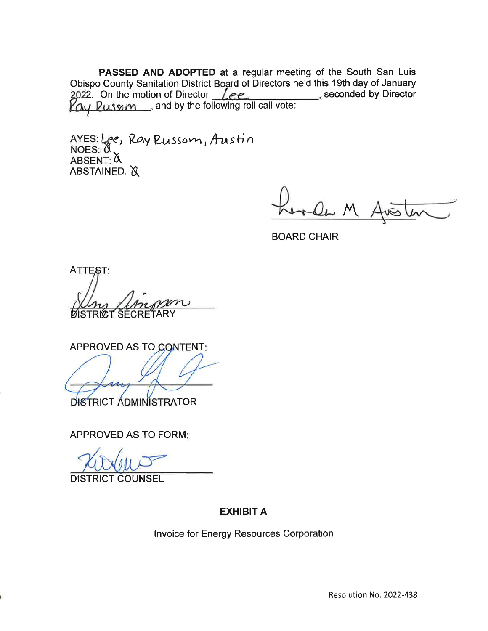PASSED AND ADOPTED at a regular meeting of the South San Luis Obispo County Sanitation District Board of Directors held this 19th day of January 2022. On the motion of Director *Lee* seconded by Director and Way of Bandary<br>
2022. On the motion of Director *Lee* seconded by Director

AYES: Lee, Ray Russom, Austin  $NOES:  $\emptyset$$ ABSENT: & ABSTAINED: X

man M

**BOARD CHAIR** 

ATTEST: **SECF** 

**APPROVED AS TO CONTENT:** 

DISTRICT ADMINISTRATOR

**APPROVED AS TO FORM:** 

**DISTRICT COUNSEL** 

## **EXHIBIT A**

Invoice for Energy Resources Corporation